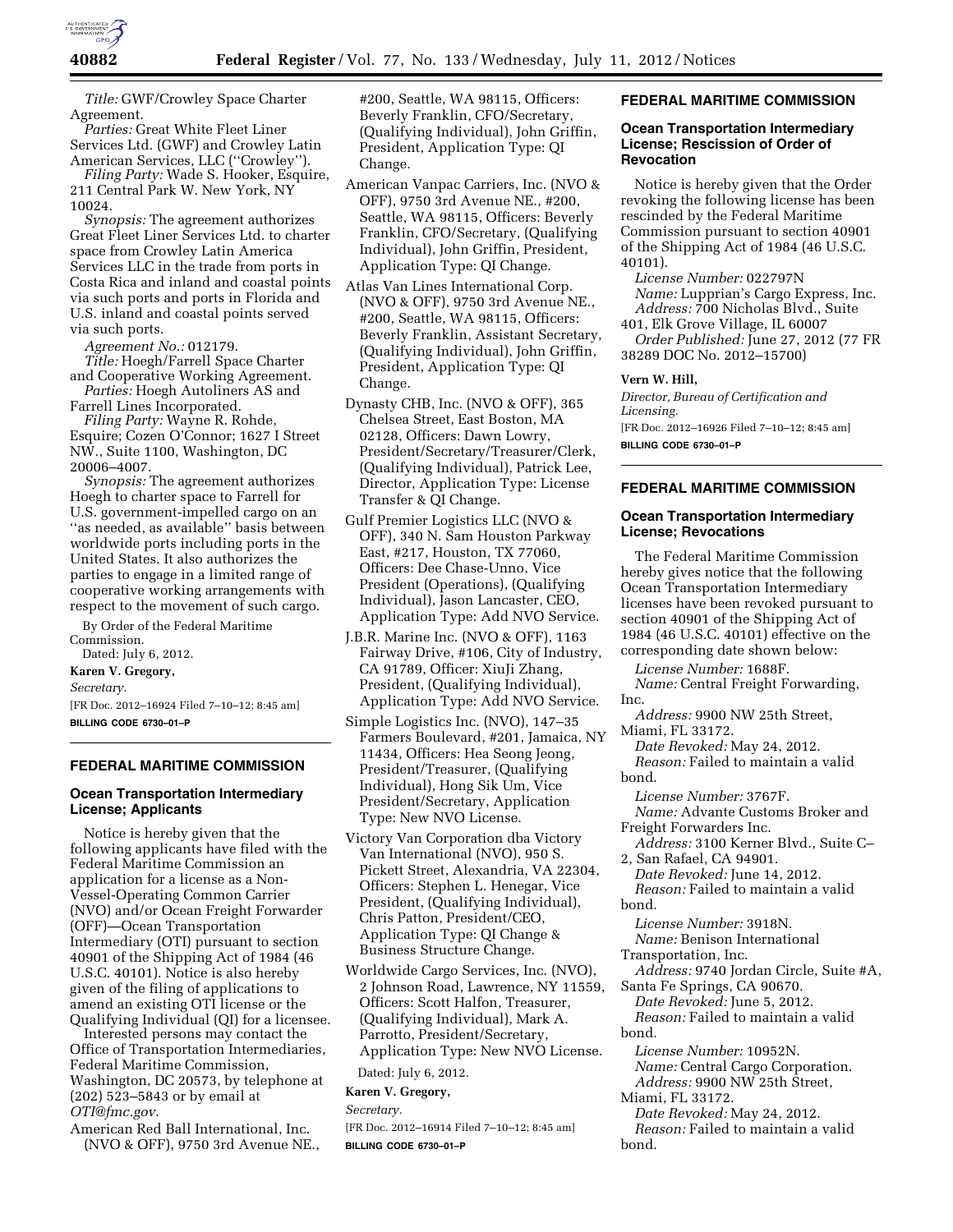

*Title:* GWF/Crowley Space Charter Agreement.

*Parties:* Great White Fleet Liner Services Ltd. (GWF) and Crowley Latin American Services, LLC (''Crowley'').

*Filing Party:* Wade S. Hooker, Esquire, 211 Central Park W. New York, NY 10024.

*Synopsis:* The agreement authorizes Great Fleet Liner Services Ltd. to charter space from Crowley Latin America Services LLC in the trade from ports in Costa Rica and inland and coastal points via such ports and ports in Florida and U.S. inland and coastal points served via such ports.

*Agreement No.:* 012179.

*Title:* Hoegh/Farrell Space Charter and Cooperative Working Agreement. *Parties:* Hoegh Autoliners AS and

Farrell Lines Incorporated. *Filing Party:* Wayne R. Rohde,

Esquire; Cozen O'Connor; 1627 I Street NW., Suite 1100, Washington, DC 20006–4007.

*Synopsis:* The agreement authorizes Hoegh to charter space to Farrell for U.S. government-impelled cargo on an ''as needed, as available'' basis between worldwide ports including ports in the United States. It also authorizes the parties to engage in a limited range of cooperative working arrangements with respect to the movement of such cargo.

By Order of the Federal Maritime Commission. Dated: July 6, 2012.

**Karen V. Gregory,** 

*Secretary.* 

[FR Doc. 2012–16924 Filed 7–10–12; 8:45 am] **BILLING CODE 6730–01–P** 

#### **FEDERAL MARITIME COMMISSION**

# **Ocean Transportation Intermediary License; Applicants**

Notice is hereby given that the following applicants have filed with the Federal Maritime Commission an application for a license as a Non-Vessel-Operating Common Carrier (NVO) and/or Ocean Freight Forwarder (OFF)—Ocean Transportation Intermediary (OTI) pursuant to section 40901 of the Shipping Act of 1984 (46 U.S.C. 40101). Notice is also hereby given of the filing of applications to amend an existing OTI license or the Qualifying Individual (QI) for a licensee.

Interested persons may contact the Office of Transportation Intermediaries, Federal Maritime Commission, Washington, DC 20573, by telephone at (202) 523–5843 or by email at *[OTI@fmc.gov.](mailto:OTI@fmc.gov)* 

American Red Ball International, Inc. (NVO & OFF), 9750 3rd Avenue NE.,

#200, Seattle, WA 98115, Officers: Beverly Franklin, CFO/Secretary, (Qualifying Individual), John Griffin, President, Application Type: QI Change.

- American Vanpac Carriers, Inc. (NVO & OFF), 9750 3rd Avenue NE., #200, Seattle, WA 98115, Officers: Beverly Franklin, CFO/Secretary, (Qualifying Individual), John Griffin, President, Application Type: QI Change.
- Atlas Van Lines International Corp. (NVO & OFF), 9750 3rd Avenue NE., #200, Seattle, WA 98115, Officers: Beverly Franklin, Assistant Secretary, (Qualifying Individual), John Griffin, President, Application Type: QI Change.
- Dynasty CHB, Inc. (NVO & OFF), 365 Chelsea Street, East Boston, MA 02128, Officers: Dawn Lowry, President/Secretary/Treasurer/Clerk, (Qualifying Individual), Patrick Lee, Director, Application Type: License Transfer & QI Change.
- Gulf Premier Logistics LLC (NVO & OFF), 340 N. Sam Houston Parkway East, #217, Houston, TX 77060, Officers: Dee Chase-Unno, Vice President (Operations), (Qualifying Individual), Jason Lancaster, CEO, Application Type: Add NVO Service.
- J.B.R. Marine Inc. (NVO & OFF), 1163 Fairway Drive, #106, City of Industry, CA 91789, Officer: XiuJi Zhang, President, (Qualifying Individual), Application Type: Add NVO Service.
- Simple Logistics Inc. (NVO), 147–35 Farmers Boulevard, #201, Jamaica, NY 11434, Officers: Hea Seong Jeong, President/Treasurer, (Qualifying Individual), Hong Sik Um, Vice President/Secretary, Application Type: New NVO License.
- Victory Van Corporation dba Victory Van International (NVO), 950 S. Pickett Street, Alexandria, VA 22304, Officers: Stephen L. Henegar, Vice President, (Qualifying Individual), Chris Patton, President/CEO, Application Type: QI Change & Business Structure Change.
- Worldwide Cargo Services, Inc. (NVO), 2 Johnson Road, Lawrence, NY 11559, Officers: Scott Halfon, Treasurer, (Qualifying Individual), Mark A. Parrotto, President/Secretary, Application Type: New NVO License.

Dated: July 6, 2012.

## **Karen V. Gregory,**

*Secretary.* 

[FR Doc. 2012–16914 Filed 7–10–12; 8:45 am] **BILLING CODE 6730–01–P** 

# **FEDERAL MARITIME COMMISSION**

#### **Ocean Transportation Intermediary License; Rescission of Order of Revocation**

Notice is hereby given that the Order revoking the following license has been rescinded by the Federal Maritime Commission pursuant to section 40901 of the Shipping Act of 1984 (46 U.S.C. 40101).

*License Number:* 022797N *Name:* Lupprian's Cargo Express, Inc. *Address:* 700 Nicholas Blvd., Suite

401, Elk Grove Village, IL 60007 *Order Published:* June 27, 2012 (77 FR 38289 DOC No. 2012–15700)

# **Vern W. Hill,**

*Director, Bureau of Certification and Licensing.* 

[FR Doc. 2012–16926 Filed 7–10–12; 8:45 am] **BILLING CODE 6730–01–P** 

# **FEDERAL MARITIME COMMISSION**

## **Ocean Transportation Intermediary License; Revocations**

The Federal Maritime Commission hereby gives notice that the following Ocean Transportation Intermediary licenses have been revoked pursuant to section 40901 of the Shipping Act of 1984 (46 U.S.C. 40101) effective on the corresponding date shown below:

*License Number:* 1688F.

*Name:* Central Freight Forwarding, Inc.

*Address:* 9900 NW 25th Street, Miami, FL 33172.

*Date Revoked:* May 24, 2012. *Reason:* Failed to maintain a valid

bond.

*License Number:* 3767F. *Name:* Advante Customs Broker and Freight Forwarders Inc.

*Address:* 3100 Kerner Blvd., Suite C– 2, San Rafael, CA 94901.

*Date Revoked:* June 14, 2012. *Reason:* Failed to maintain a valid bond.

*License Number:* 3918N. *Name:* Benison International

Transportation, Inc.

*Address:* 9740 Jordan Circle, Suite #A,

Santa Fe Springs, CA 90670. *Date Revoked:* June 5, 2012. *Reason:* Failed to maintain a valid bond.

*License Number:* 10952N. *Name:* Central Cargo Corporation. *Address:* 9900 NW 25th Street,

Miami, FL 33172.

*Date Revoked:* May 24, 2012. *Reason:* Failed to maintain a valid bond.